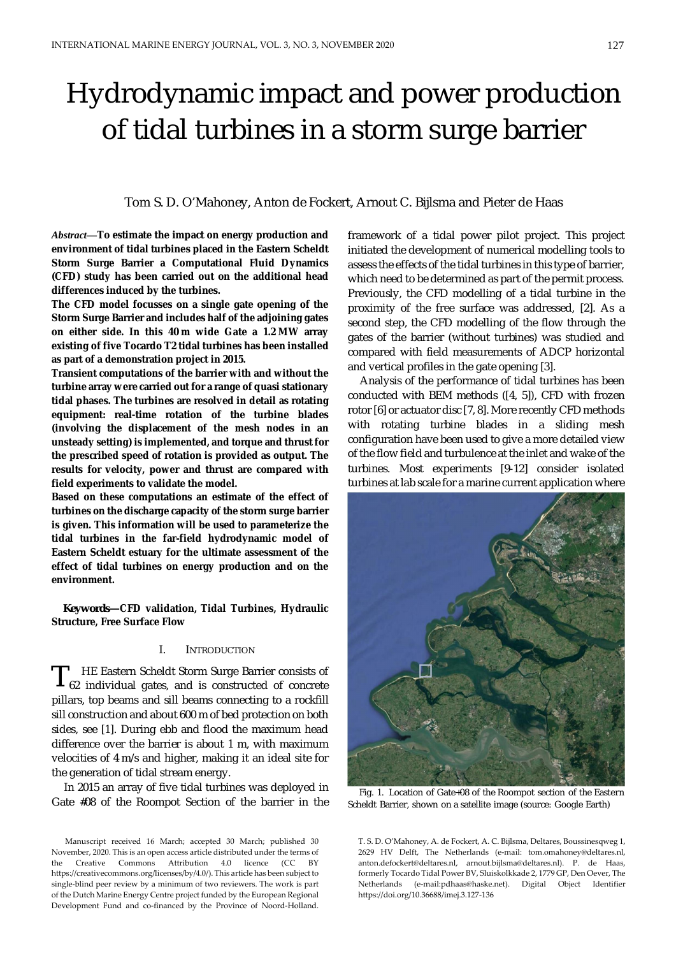# Hydrodynamic impact and power production of tidal turbines in a storm surge barrier

Tom S. D. O'Mahoney, Anton de Fockert, Arnout C. Bijlsma and Pieter de Haas

*Abstract—***To estimate the impact on energy production and environment of tidal turbines placed in the Eastern Scheldt Storm Surge Barrier a Computational Fluid Dynamics (CFD) study has been carried out on the additional head differences induced by the turbines.**

**The CFD model focusses on a single gate opening of the Storm Surge Barrier and includes half of the adjoining gates on either side. In this 40 m wide Gate a 1.2 MW array existing of five Tocardo T2 tidal turbines has been installed as part of a demonstration project in 2015.**

**Transient computations of the barrier with and without the turbine array were carried out for a range of quasi stationary tidal phases. The turbines are resolved in detail as rotating equipment: real-time rotation of the turbine blades (involving the displacement of the mesh nodes in an unsteady setting) is implemented, and torque and thrust for the prescribed speed of rotation is provided as output. The results for velocity, power and thrust are compared with field experiments to validate the model.**

**Based on these computations an estimate of the effect of turbines on the discharge capacity of the storm surge barrier is given. This information will be used to parameterize the tidal turbines in the far-field hydrodynamic model of Eastern Scheldt estuary for the ultimate assessment of the effect of tidal turbines on energy production and on the environment.**

*Keywords—***CFD validation, Tidal Turbines, Hydraulic Structure, Free Surface Flow**

#### I. INTRODUCTION

HE Eastern Scheldt Storm Surge Barrier consists of 62 individual gates, and is constructed of concrete pillars, top beams and sill beams connecting to a rockfill sill construction and about 600 m of bed protection on both sides, see [1]. During ebb and flood the maximum head difference over the barrier is about 1 m, with maximum velocities of 4 m/s and higher, making it an ideal site for the generation of tidal stream energy. T

In 2015 an array of five tidal turbines was deployed in Gate #08 of the Roompot Section of the barrier in the

Manuscript received 16 March; accepted 30 March; published 30 November, 2020. This is an open access article distributed under the terms of https://creativecommons.org/licenses/by/4.0/). This article has been subject to  $\frac{1}{\sigma}$  single-blind peer review by a minimum of two reviewers. The work is part of the Dutch Marine Energy Centre project funded by the European Regional Development Fund and co-financed by the Province of Noord-Holland. the Creative Commons Attribution 4.0 licence (CC BY

framework of a tidal power pilot project. This project initiated the development of numerical modelling tools to assess the effects of the tidal turbines in this type of barrier, which need to be determined as part of the permit process. Previously, the CFD modelling of a tidal turbine in the proximity of the free surface was addressed, [2]. As a second step, the CFD modelling of the flow through the gates of the barrier (without turbines) was studied and compared with field measurements of ADCP horizontal and vertical profiles in the gate opening [3].

Analysis of the performance of tidal turbines has been conducted with BEM methods ([4, 5]), CFD with frozen rotor [6] or actuator disc [7, 8]. More recently CFD methods with rotating turbine blades in a sliding mesh configuration have been used to give a more detailed view of the flow field and turbulence at the inlet and wake of the turbines. Most experiments [9-12] consider isolated turbines at lab scale for a marine current application where



Fig. 1. Location of Gate+08 of the Roompot section of the Eastern Scheldt Barrier, shown on a satellite image (source: Google Earth)

T. S. D. O'Mahoney, A. de Fockert, A. C. Bijlsma, Deltares, Boussinesqweg 1, arnout.bijlsma@deltares.nl ). anton.defockert@deltares.nl, arnout.bijlsma@deltares.nl). P. de Haas, P. de Haas, formerly Tocardo Tidal Power BV, Sluiskolkkade 2, formerly Tocardo Tidal Power BV, Sluiskolkkade 2, 1779 GP, Den Oever, The Netherlands (e-mail:pdhaas@haske.net). Digital Object Identifier 2629 HV Delft, The Netherlands (e-mail: tom.omahoney@deltares.nl, https://doi.org/10.36688/imej.3.127-136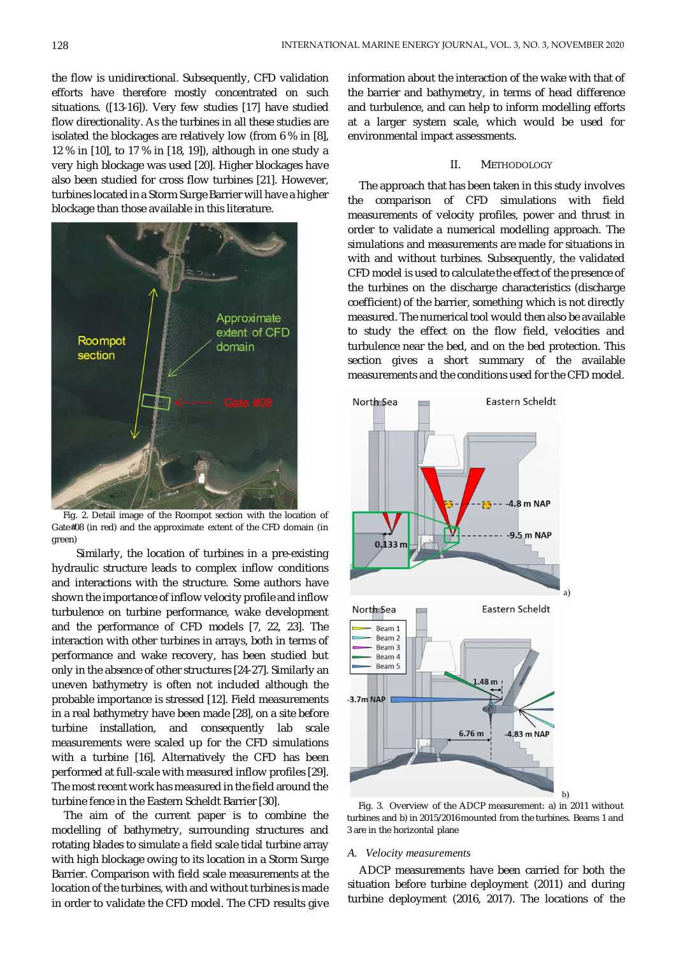the flow is unidirectional. Subsequently, CFD validation efforts have therefore mostly concentrated on such situations. ([13-16]). Very few studies [17] have studied flow directionality. As the turbines in all these studies are isolated the blockages are relatively low (from 6 % in [8], 12 % in [10], to 17 % in [18, 19]), although in one study a very high blockage was used [20]. Higher blockages have also been studied for cross flow turbines [21]. However, turbines located in a Storm Surge Barrier will have a higher blockage than those available in this literature.



Fig. 2. Detail image of the Roompot section with the location of Gate#08 (in red) and the approximate extent of the CFD domain (in green)

Similarly, the location of turbines in a pre-existing hydraulic structure leads to complex inflow conditions and interactions with the structure. Some authors have shown the importance of inflow velocity profile and inflow turbulence on turbine performance, wake development and the performance of CFD models [7, 22, 23]. The interaction with other turbines in arrays, both in terms of performance and wake recovery, has been studied but only in the absence of other structures [24-27]. Similarly an uneven bathymetry is often not included although the probable importance is stressed [12]. Field measurements in a real bathymetry have been made [28], on a site before turbine installation, and consequently lab scale measurements were scaled up for the CFD simulations with a turbine [16]. Alternatively the CFD has been performed at full-scale with measured inflow profiles [29]. The most recent work has measured in the field around the turbine fence in the Eastern Scheldt Barrier [30].

The aim of the current paper is to combine the modelling of bathymetry, surrounding structures and rotating blades to simulate a field scale tidal turbine array with high blockage owing to its location in a Storm Surge Barrier. Comparison with field scale measurements at the location of the turbines, with and without turbines is made in order to validate the CFD model. The CFD results give

information about the interaction of the wake with that of the barrier and bathymetry, in terms of head difference and turbulence, and can help to inform modelling efforts at a larger system scale, which would be used for environmental impact assessments.

#### II. METHODOLOGY

The approach that has been taken in this study involves the comparison of CFD simulations with field measurements of velocity profiles, power and thrust in order to validate a numerical modelling approach. The simulations and measurements are made for situations in with and without turbines. Subsequently, the validated CFD model is used to calculate the effect of the presence of the turbines on the discharge characteristics (discharge coefficient) of the barrier, something which is not directly measured. The numerical tool would then also be available to study the effect on the flow field, velocities and turbulence near the bed, and on the bed protection. This section gives a short summary of the available measurements and the conditions used for the CFD model.



Fig. 3. Overview of the ADCP measurement: a) in 2011 without turbines and b) in 2015/2016 mounted from the turbines. Beams 1 and 3 are in the horizontal plane

#### *A. Velocity measurements*

ADCP measurements have been carried for both the situation before turbine deployment (2011) and during turbine deployment (2016, 2017). The locations of the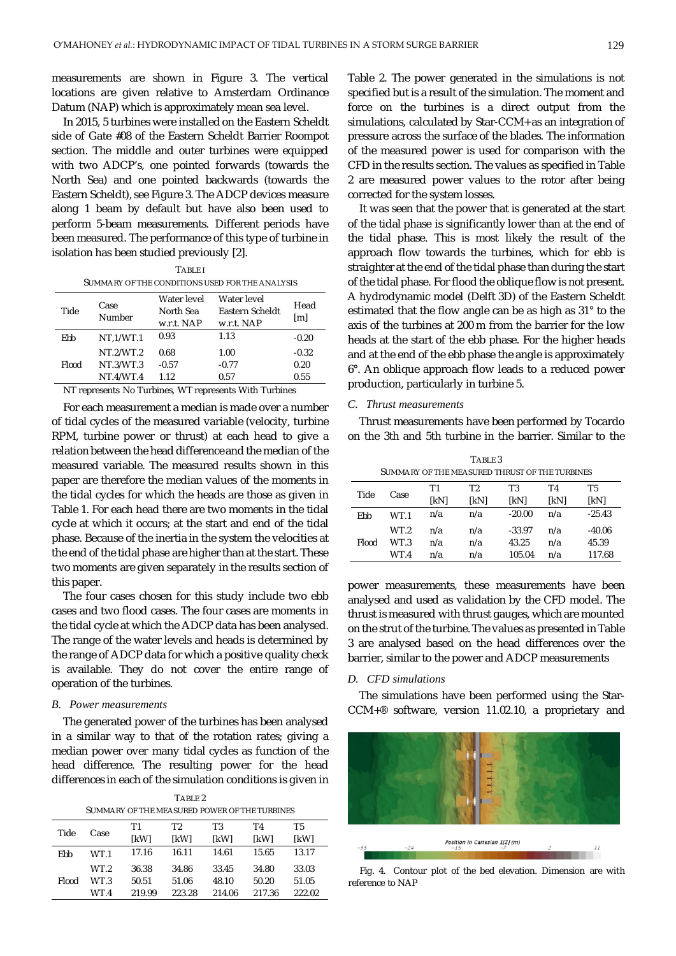measurements are shown in Figure 3. The vertical locations are given relative to Amsterdam Ordinance Datum (NAP) which is approximately mean sea level.

In 2015, 5 turbines were installed on the Eastern Scheldt side of Gate #08 of the Eastern Scheldt Barrier Roompot section. The middle and outer turbines were equipped with two ADCP's, one pointed forwards (towards the North Sea) and one pointed backwards (towards the Eastern Scheldt), see Figure 3. The ADCP devices measure along 1 beam by default but have also been used to perform 5-beam measurements. Different periods have been measured. The performance of this type of turbine in isolation has been studied previously [2].

| <b>TARIFI</b>                                   |
|-------------------------------------------------|
| Summary of the conditions used for the analysis |

| Tide  | Case<br>Number | Water level<br>North Sea<br>w.r.t. NAP | Water level<br>Eastern Scheldt<br>w.r.t. NAP | Head<br>[ml] |
|-------|----------------|----------------------------------------|----------------------------------------------|--------------|
| Ebb   | NT.1/WT.1      | 0.93                                   | 1.13                                         | $-0.20$      |
|       | NT.2/WT.2      | 0.68                                   | 1.00                                         | $-0.32$      |
| Flood | NT.3/WT.3      | $-0.57$                                | $-0.77$                                      | 0.20         |
|       | NT.4/WT.4      | 1.12                                   | 0.57                                         | 0.55         |

NT represents No Turbines, WT represents With Turbines

For each measurement a median is made over a number of tidal cycles of the measured variable (velocity, turbine RPM, turbine power or thrust) at each head to give a relation between the head difference and the median of the measured variable. The measured results shown in this paper are therefore the median values of the moments in the tidal cycles for which the heads are those as given in Table 1. For each head there are two moments in the tidal cycle at which it occurs; at the start and end of the tidal phase. Because of the inertia in the system the velocities at the end of the tidal phase are higher than at the start. These two moments are given separately in the results section of this paper.

The four cases chosen for this study include two ebb cases and two flood cases. The four cases are moments in the tidal cycle at which the ADCP data has been analysed. The range of the water levels and heads is determined by the range of ADCP data for which a positive quality check is available. They do not cover the entire range of operation of the turbines.

## *B. Power measurements*

The generated power of the turbines has been analysed in a similar way to that of the rotation rates; giving a median power over many tidal cycles as function of the head difference. The resulting power for the head differences in each of the simulation conditions is given in

TABLE 2

| SUMMARY OF THE MEASURED POWER OF THE TURBINES                                                           |              |                |                |                |                |                |  |
|---------------------------------------------------------------------------------------------------------|--------------|----------------|----------------|----------------|----------------|----------------|--|
| Τ2<br>T3<br>T5<br>Τ1<br>T4<br>Tide<br>Case<br><b>IkWI</b><br><b>IkWI</b><br>[kW]<br><b>IkWI</b><br>[kW] |              |                |                |                |                |                |  |
| Ebb                                                                                                     | WT.1         | 17.16          | 16.11          | 14.61          | 15.65          | 13.17          |  |
| Flood                                                                                                   | WT.2<br>WT 3 | 36.38<br>50.51 | 34.86<br>51.06 | 33.45<br>48.10 | 34.80<br>50.20 | 33.03<br>51.05 |  |
|                                                                                                         | WT.4         | 219.99         | 223.28         | 214.06         | 217.36         | 222.02         |  |

Table 2. The power generated in the simulations is not specified but is a result of the simulation. The moment and force on the turbines is a direct output from the simulations, calculated by Star-CCM+ as an integration of pressure across the surface of the blades. The information of the measured power is used for comparison with the CFD in the results section. The values as specified in Table 2 are measured power values to the rotor after being corrected for the system losses.

It was seen that the power that is generated at the start of the tidal phase is significantly lower than at the end of the tidal phase. This is most likely the result of the approach flow towards the turbines, which for ebb is straighter at the end of the tidal phase than during the start of the tidal phase. For flood the oblique flow is not present. A hydrodynamic model (Delft 3D) of the Eastern Scheldt estimated that the flow angle can be as high as 31° to the axis of the turbines at 200 m from the barrier for the low heads at the start of the ebb phase. For the higher heads and at the end of the ebb phase the angle is approximately 6°. An oblique approach flow leads to a reduced power production, particularly in turbine 5.

## *C. Thrust measurements*

Thrust measurements have been performed by Tocardo on the 3th and 5th turbine in the barrier. Similar to the

| TABLE 3<br>SUMMARY OF THE MEASURED THRUST OF THE TURBINES |      |      |      |          |      |          |  |
|-----------------------------------------------------------|------|------|------|----------|------|----------|--|
| Tide                                                      | Case | Τ1   | T2   | T3       | T4   | T5       |  |
|                                                           |      | [kN] | [kN] | [kN]     | [kN] | [kN]     |  |
| Ebb                                                       | WT.1 | n/a  | n/a  | $-20.00$ | n/a  | $-25.43$ |  |
|                                                           | WT.2 | n/a  | n/a  | $-33.97$ | n/a  | $-40.06$ |  |
| Flood                                                     | WT 3 | n/a  | n/a  | 43.25    | n/a  | 45.39    |  |
|                                                           | WT.4 | n/a  | n/a  | 105.04   | n/a  | 117.68   |  |

power measurements, these measurements have been analysed and used as validation by the CFD model. The thrust is measured with thrust gauges, which are mounted on the strut of the turbine. The values as presented in Table 3 are analysed based on the head differences over the barrier, similar to the power and ADCP measurements

#### *D. CFD simulations*

The simulations have been performed using the Star-CCM+® software, version 11.02.10, a proprietary and



Fig. 4. Contour plot of the bed elevation. Dimension are with reference to NAP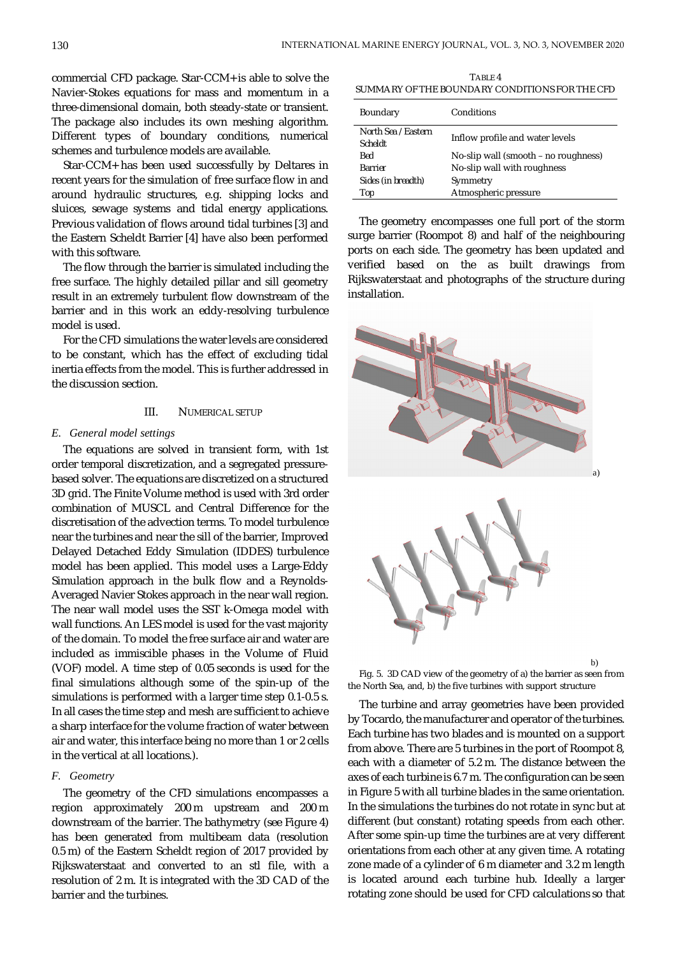commercial CFD package. Star-CCM+ is able to solve the Navier-Stokes equations for mass and momentum in a three-dimensional domain, both steady-state or transient. The package also includes its own meshing algorithm. Different types of boundary conditions, numerical schemes and turbulence models are available.

Star-CCM+ has been used successfully by Deltares in recent years for the simulation of free surface flow in and around hydraulic structures, e.g. shipping locks and sluices, sewage systems and tidal energy applications. Previous validation of flows around tidal turbines [3] and the Eastern Scheldt Barrier [4] have also been performed with this software.

The flow through the barrier is simulated including the free surface. The highly detailed pillar and sill geometry result in an extremely turbulent flow downstream of the barrier and in this work an eddy-resolving turbulence model is used.

For the CFD simulations the water levels are considered to be constant, which has the effect of excluding tidal inertia effects from the model. This is further addressed in the discussion section.

## III. NUMERICAL SETUP

#### *E. General model settings*

The equations are solved in transient form, with 1st order temporal discretization, and a segregated pressurebased solver. The equations are discretized on a structured 3D grid. The Finite Volume method is used with 3rd order combination of MUSCL and Central Difference for the discretisation of the advection terms. To model turbulence near the turbines and near the sill of the barrier, Improved Delayed Detached Eddy Simulation (IDDES) turbulence model has been applied. This model uses a Large-Eddy Simulation approach in the bulk flow and a Reynolds-Averaged Navier Stokes approach in the near wall region. The near wall model uses the SST k-Omega model with wall functions. An LES model is used for the vast majority of the domain. To model the free surface air and water are included as immiscible phases in the Volume of Fluid (VOF) model. A time step of 0.05 seconds is used for the final simulations although some of the spin-up of the simulations is performed with a larger time step 0.1-0.5 s. In all cases the time step and mesh are sufficient to achieve a sharp interface for the volume fraction of water between air and water, this interface being no more than 1 or 2 cells in the vertical at all locations.).

# *F. Geometry*

The geometry of the CFD simulations encompasses a region approximately 200 m upstream and 200 m downstream of the barrier. The bathymetry (see Figure 4) has been generated from multibeam data (resolution 0.5 m) of the Eastern Scheldt region of 2017 provided by Rijkswaterstaat and converted to an stl file, with a resolution of 2 m. It is integrated with the 3D CAD of the barrier and the turbines.

TABLE 4 SUMMARY OF THE BOUNDARY CONDITIONS FOR THE CFD

| Boundary                              | Conditions                           |
|---------------------------------------|--------------------------------------|
| North Sea / Eastern<br><b>Scheldt</b> | Inflow profile and water levels      |
| Bed                                   | No-slip wall (smooth – no roughness) |
| <b>Barrier</b>                        | No-slip wall with roughness          |
| Sides (in breadth)                    | Symmetry                             |
| Top                                   | Atmospheric pressure                 |

The geometry encompasses one full port of the storm surge barrier (Roompot 8) and half of the neighbouring ports on each side. The geometry has been updated and verified based on the as built drawings from Rijkswaterstaat and photographs of the structure during installation.



Fig. 5. 3D CAD view of the geometry of a) the barrier as seen from the North Sea, and, b) the five turbines with support structure

The turbine and array geometries have been provided by Tocardo, the manufacturer and operator of the turbines. Each turbine has two blades and is mounted on a support from above. There are 5 turbines in the port of Roompot 8, each with a diameter of 5.2 m. The distance between the axes of each turbine is 6.7 m. The configuration can be seen in Figure 5 with all turbine blades in the same orientation. In the simulations the turbines do not rotate in sync but at different (but constant) rotating speeds from each other. After some spin-up time the turbines are at very different orientations from each other at any given time. A rotating zone made of a cylinder of 6 m diameter and 3.2 m length is located around each turbine hub. Ideally a larger rotating zone should be used for CFD calculations so that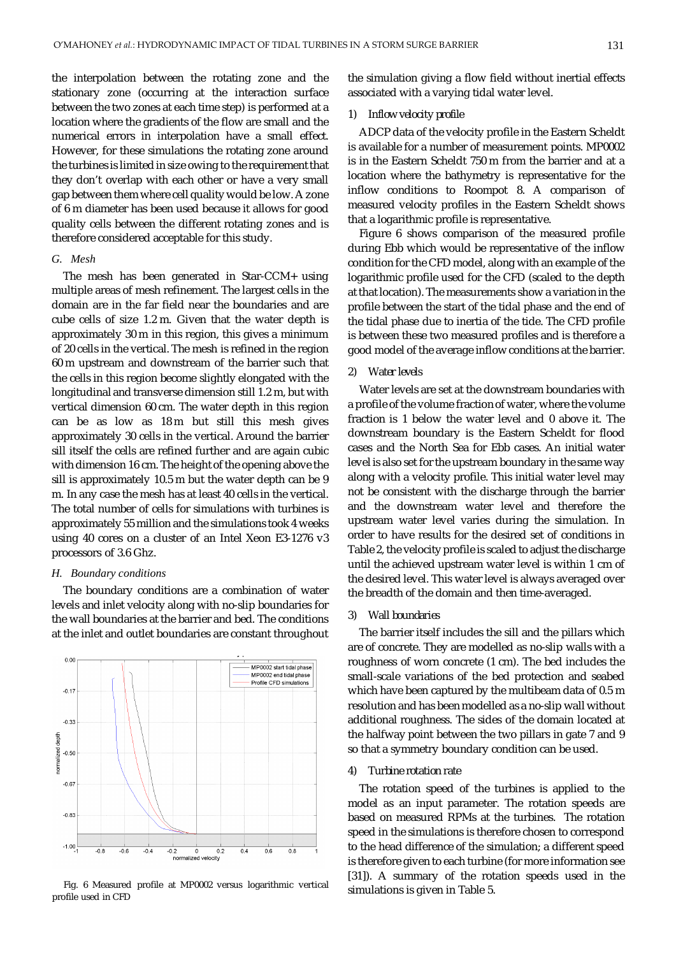the interpolation between the rotating zone and the stationary zone (occurring at the interaction surface between the two zones at each time step) is performed at a location where the gradients of the flow are small and the numerical errors in interpolation have a small effect. However, for these simulations the rotating zone around the turbines is limited in size owing to the requirement that they don't overlap with each other or have a very small gap between them where cell quality would be low. A zone of 6 m diameter has been used because it allows for good quality cells between the different rotating zones and is therefore considered acceptable for this study.

## *G. Mesh*

The mesh has been generated in Star-CCM+ using multiple areas of mesh refinement. The largest cells in the domain are in the far field near the boundaries and are cube cells of size 1.2 m. Given that the water depth is approximately 30 m in this region, this gives a minimum of 20 cells in the vertical. The mesh is refined in the region 60 m upstream and downstream of the barrier such that the cells in this region become slightly elongated with the longitudinal and transverse dimension still 1.2 m, but with vertical dimension 60 cm. The water depth in this region can be as low as 18 m but still this mesh gives approximately 30 cells in the vertical. Around the barrier sill itself the cells are refined further and are again cubic with dimension 16 cm. The height of the opening above the sill is approximately 10.5 m but the water depth can be 9 m. In any case the mesh has at least 40 cells in the vertical. The total number of cells for simulations with turbines is approximately 55 million and the simulations took 4 weeks using 40 cores on a cluster of an Intel Xeon E3-1276 v3 processors of 3.6 Ghz.

## *H. Boundary conditions*

The boundary conditions are a combination of water levels and inlet velocity along with no-slip boundaries for the wall boundaries at the barrier and bed. The conditions at the inlet and outlet boundaries are constant throughout



Fig. 6 Measured profile at MP0002 versus logarithmic vertical simulations is given in Table 5. profile used in CFD

the simulation giving a flow field without inertial effects associated with a varying tidal water level.

## *1) Inflow velocity profile*

ADCP data of the velocity profile in the Eastern Scheldt is available for a number of measurement points. MP0002 is in the Eastern Scheldt 750 m from the barrier and at a location where the bathymetry is representative for the inflow conditions to Roompot 8. A comparison of measured velocity profiles in the Eastern Scheldt shows that a logarithmic profile is representative.

Figure 6 shows comparison of the measured profile during Ebb which would be representative of the inflow condition for the CFD model, along with an example of the logarithmic profile used for the CFD (scaled to the depth at that location). The measurements show a variation in the profile between the start of the tidal phase and the end of the tidal phase due to inertia of the tide. The CFD profile is between these two measured profiles and is therefore a good model of the average inflow conditions at the barrier.

# *2) Water levels*

Water levels are set at the downstream boundaries with a profile of the volume fraction of water, where the volume fraction is 1 below the water level and 0 above it. The downstream boundary is the Eastern Scheldt for flood cases and the North Sea for Ebb cases. An initial water level is also set for the upstream boundary in the same way along with a velocity profile. This initial water level may not be consistent with the discharge through the barrier and the downstream water level and therefore the upstream water level varies during the simulation. In order to have results for the desired set of conditions in Table 2, the velocity profile is scaled to adjust the discharge until the achieved upstream water level is within 1 cm of the desired level. This water level is always averaged over the breadth of the domain and then time-averaged.

## *3) Wall boundaries*

The barrier itself includes the sill and the pillars which are of concrete. They are modelled as no-slip walls with a roughness of worn concrete (1 cm). The bed includes the small-scale variations of the bed protection and seabed which have been captured by the multibeam data of 0.5 m resolution and has been modelled as a no-slip wall without additional roughness. The sides of the domain located at the halfway point between the two pillars in gate 7 and 9 so that a symmetry boundary condition can be used.

#### *4) Turbine rotation rate*

The rotation speed of the turbines is applied to the model as an input parameter. The rotation speeds are based on measured RPMs at the turbines. The rotation speed in the simulations is therefore chosen to correspond to the head difference of the simulation; a different speed is therefore given to each turbine (for more information see [31]). A summary of the rotation speeds used in the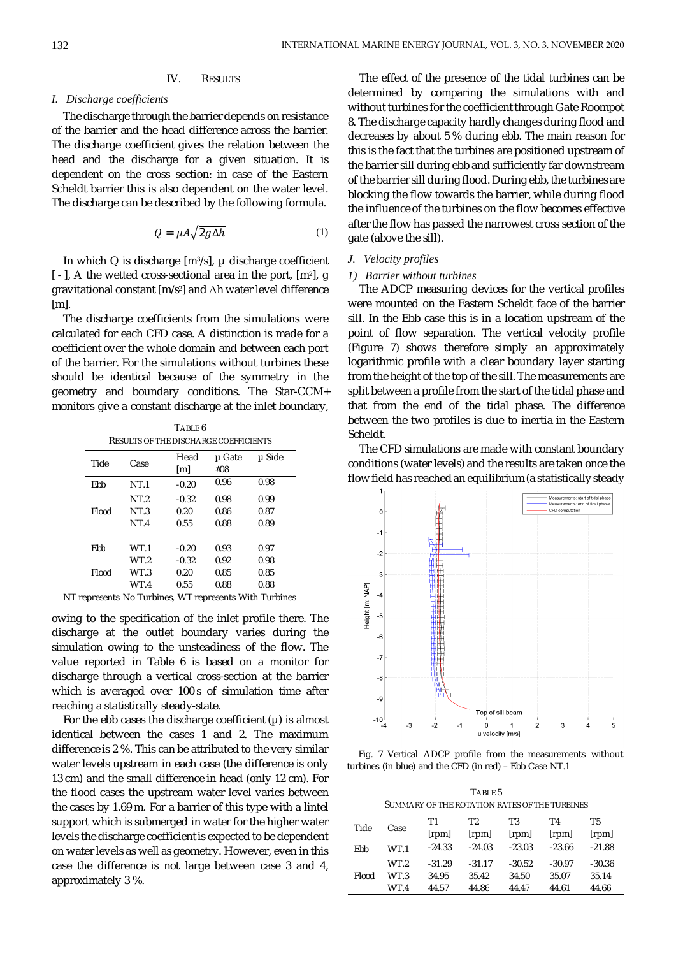## IV. RESULTS

# *I. Discharge coefficients*

The discharge through the barrier depends on resistance of the barrier and the head difference across the barrier. The discharge coefficient gives the relation between the head and the discharge for a given situation. It is dependent on the cross section: in case of the Eastern Scheldt barrier this is also dependent on the water level. The discharge can be described by the following formula.

$$
Q = \mu A \sqrt{2g\Delta h} \tag{1}
$$

In which Q is discharge [m<sup>3</sup>/s], µ discharge coefficient [-], A the wetted cross-sectional area in the port, [m<sup>2</sup>], g gravitational constant [m/s<sup>2</sup> ] and Δh water level difference  $[ml]$ .

The discharge coefficients from the simulations were calculated for each CFD case. A distinction is made for a coefficient over the whole domain and between each port of the barrier. For the simulations without turbines these should be identical because of the symmetry in the geometry and boundary conditions. The Star-CCM+ monitors give a constant discharge at the inlet boundary,

TABLE 6 RESULTS OF THE DISCHARGE COEFFICIENTS

| Tide  | Case            | Head    | µ Gate | µ Side |
|-------|-----------------|---------|--------|--------|
|       |                 | [m]     | #08    |        |
| Ebb   | NT.1            | $-0.20$ | 0.96   | 0.98   |
|       | NT.2            | $-0.32$ | 0.98   | 0.99   |
| Flood | NT.3            | 0.20    | 0.86   | 0.87   |
|       | NT <sub>4</sub> | 0.55    | 0.88   | 0.89   |
|       |                 |         |        |        |
| Fhh   | WT.1            | $-0.20$ | 0.93   | 0.97   |
|       | WT 2            | $-0.32$ | 0.92   | 0.98   |
| Flood | WT.3            | 0.20    | 0.85   | 0.85   |
|       | WT.4            | 0.55    | 0.88   | 0.88   |
|       |                 |         |        |        |

NT represents No Turbines, WT represents With Turbines

owing to the specification of the inlet profile there. The discharge at the outlet boundary varies during the simulation owing to the unsteadiness of the flow. The value reported in Table 6 is based on a monitor for discharge through a vertical cross-section at the barrier which is averaged over 100 s of simulation time after reaching a statistically steady-state.

For the ebb cases the discharge coefficient  $(\mu)$  is almost identical between the cases 1 and 2. The maximum difference is 2 %. This can be attributed to the very similar water levels upstream in each case (the difference is only 13 cm) and the small difference in head (only 12 cm). For the flood cases the upstream water level varies between the cases by 1.69 m. For a barrier of this type with a lintel support which is submerged in water for the higher water levels the discharge coefficient is expected to be dependent on water levels as well as geometry. However, even in this case the difference is not large between case 3 and 4, approximately 3 %.

The effect of the presence of the tidal turbines can be determined by comparing the simulations with and without turbines for the coefficient through Gate Roompot 8. The discharge capacity hardly changes during flood and decreases by about 5 % during ebb. The main reason for this is the fact that the turbines are positioned upstream of the barrier sill during ebb and sufficiently far downstream of the barrier sill during flood. During ebb, the turbines are blocking the flow towards the barrier, while during flood the influence of the turbines on the flow becomes effective after the flow has passed the narrowest cross section of the gate (above the sill).

## *J. Velocity profiles*

## *1) Barrier without turbines*

The ADCP measuring devices for the vertical profiles were mounted on the Eastern Scheldt face of the barrier sill. In the Ebb case this is in a location upstream of the point of flow separation. The vertical velocity profile (Figure 7) shows therefore simply an approximately logarithmic profile with a clear boundary layer starting from the height of the top of the sill. The measurements are split between a profile from the start of the tidal phase and that from the end of the tidal phase. The difference between the two profiles is due to inertia in the Eastern Scheldt.

The CFD simulations are made with constant boundary conditions (water levels) and the results are taken once the flow field has reached an equilibrium (a statistically steady



Fig. 7 Vertical ADCP profile from the measurements without turbines (in blue) and the CFD (in red) – Ebb Case NT.1

TABLE 5 SUMMARY OF THE ROTATION RATES OF THE TURBINES

| Tide  | Case | T1       | T <sub>2</sub> | T <sub>3</sub> | T4       | T <sub>5</sub> |
|-------|------|----------|----------------|----------------|----------|----------------|
|       |      | [rpm]    | [rpm]          | [rpm]          | [rpm]    | [rpm]          |
| Ebb   | WT.1 | $-24.33$ | $-24.03$       | $-23.03$       | $-23.66$ | $-21.88$       |
|       | WT.2 | $-31.29$ | $-31.17$       | $-30.52$       | $-30.97$ | $-30.36$       |
| Flood | WT 3 | 34.95    | 35.42          | 34.50          | 35.07    | 35.14          |
|       | WT.4 | 44.57    | 44.86          | 44.47          | 44.61    | 44.66          |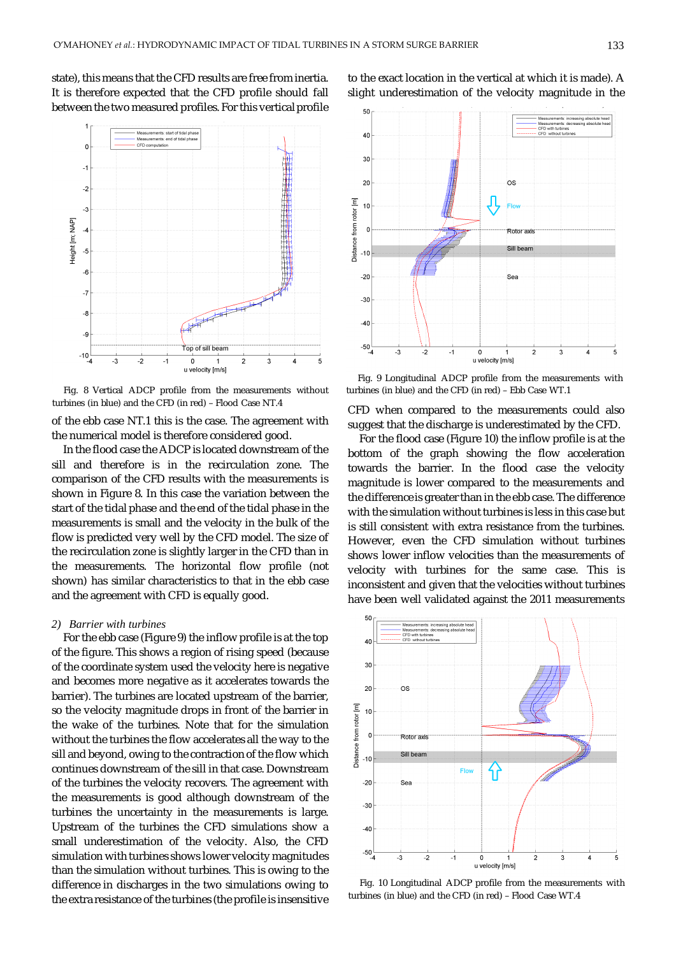state), this means that the CFD results are free from inertia. It is therefore expected that the CFD profile should fall between the two measured profiles. For this vertical profile



Fig. 8 Vertical ADCP profile from the measurements without turbines (in blue) and the CFD (in red) – Ebb Case WT.1 turbines (in blue) and the CFD (in red) – Flood Case NT.4

of the ebb case NT.1 this is the case. The agreement with the numerical model is therefore considered good.

In the flood case the ADCP is located downstream of the sill and therefore is in the recirculation zone. The comparison of the CFD results with the measurements is shown in Figure 8. In this case the variation between the start of the tidal phase and the end of the tidal phase in the measurements is small and the velocity in the bulk of the flow is predicted very well by the CFD model. The size of the recirculation zone is slightly larger in the CFD than in the measurements. The horizontal flow profile (not shown) has similar characteristics to that in the ebb case and the agreement with CFD is equally good.

## *2) Barrier with turbines*

For the ebb case (Figure 9) the inflow profile is at the top of the figure. This shows a region of rising speed (because of the coordinate system used the velocity here is negative and becomes more negative as it accelerates towards the barrier). The turbines are located upstream of the barrier, so the velocity magnitude drops in front of the barrier in the wake of the turbines. Note that for the simulation without the turbines the flow accelerates all the way to the sill and beyond, owing to the contraction of the flow which continues downstream of the sill in that case. Downstream of the turbines the velocity recovers. The agreement with the measurements is good although downstream of the turbines the uncertainty in the measurements is large. Upstream of the turbines the CFD simulations show a small underestimation of the velocity. Also, the CFD simulation with turbines shows lower velocity magnitudes than the simulation without turbines. This is owing to the difference in discharges in the two simulations owing to the extra resistance of the turbines (the profile is insensitive



to the exact location in the vertical at which it is made). A slight underestimation of the velocity magnitude in the

Fig. 9 Longitudinal ADCP profile from the measurements with

CFD when compared to the measurements could also suggest that the discharge is underestimated by the CFD.

For the flood case (Figure 10) the inflow profile is at the bottom of the graph showing the flow acceleration towards the barrier. In the flood case the velocity magnitude is lower compared to the measurements and the difference is greater than in the ebb case. The difference with the simulation without turbines is less in this case but is still consistent with extra resistance from the turbines. However, even the CFD simulation without turbines shows lower inflow velocities than the measurements of velocity with turbines for the same case. This is inconsistent and given that the velocities without turbines have been well validated against the 2011 measurements



Fig. 10 Longitudinal ADCP profile from the measurements with turbines (in blue) and the CFD (in red) – Flood Case WT.4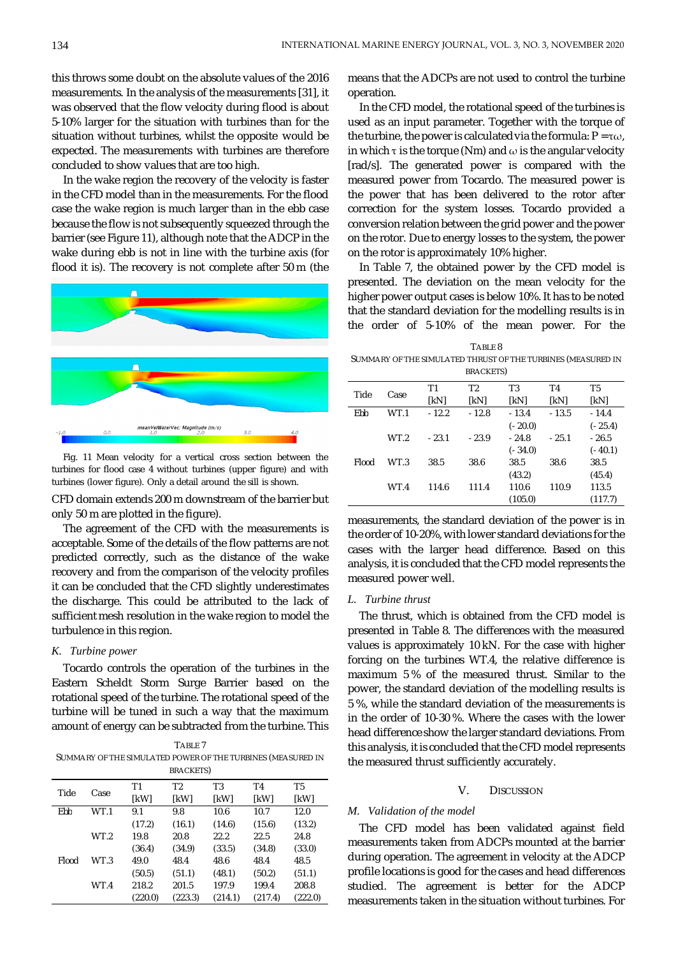this throws some doubt on the absolute values of the 2016 measurements. In the analysis of the measurements [31], it was observed that the flow velocity during flood is about 5-10% larger for the situation with turbines than for the situation without turbines, whilst the opposite would be expected. The measurements with turbines are therefore concluded to show values that are too high.

In the wake region the recovery of the velocity is faster in the CFD model than in the measurements. For the flood case the wake region is much larger than in the ebb case because the flow is not subsequently squeezed through the barrier (see Figure 11), although note that the ADCP in the wake during ebb is not in line with the turbine axis (for flood it is). The recovery is not complete after 50 m (the





CFD domain extends 200 m downstream of the barrier but only 50 m are plotted in the figure).

The agreement of the CFD with the measurements is acceptable. Some of the details of the flow patterns are not predicted correctly, such as the distance of the wake recovery and from the comparison of the velocity profiles it can be concluded that the CFD slightly underestimates the discharge. This could be attributed to the lack of sufficient mesh resolution in the wake region to model the turbulence in this region.

# *K. Turbine power*

Tocardo controls the operation of the turbines in the Eastern Scheldt Storm Surge Barrier based on the rotational speed of the turbine. The rotational speed of the turbine will be tuned in such a way that the maximum amount of energy can be subtracted from the turbine. This

TABLE 7 SUMMARY OF THE SIMULATED POWER OF THE TURBINES (MEASURED IN BRACKETS)

|       |      | Τ1      | T <sub>2</sub> | T <sub>3</sub> | T4      | T <sub>5</sub> |
|-------|------|---------|----------------|----------------|---------|----------------|
| Tide  | Case | [kW]    | [kW]           | [kW]           | [kW]    | [kW]           |
| Ebb   | WT.1 | 9.1     | 9.8            | 10.6           | 10.7    | 12.0           |
|       |      | (17.2)  | (16.1)         | (14.6)         | (15.6)  | (13.2)         |
|       | WT.2 | 19.8    | 20.8           | 22.2           | 22.5    | 24.8           |
|       |      | (36.4)  | (34.9)         | (33.5)         | (34.8)  | (33.0)         |
| Flood | WT.3 | 49.0    | 48.4           | 48.6           | 48.4    | 48.5           |
|       |      | (50.5)  | (51.1)         | (48.1)         | (50.2)  | (51.1)         |
|       | WT.4 | 218.2   | 201.5          | 197.9          | 199.4   | 208.8          |
|       |      | (220.0) | (223.3)        | (214.1)        | (217.4) | (222.0)        |

means that the ADCPs are not used to control the turbine operation.

In the CFD model, the rotational speed of the turbines is used as an input parameter. Together with the torque of the turbine, the power is calculated via the formula:  $P = \tau \omega$ , in which  $\tau$  is the torque (Nm) and  $\omega$  is the angular velocity [rad/s]. The generated power is compared with the measured power from Tocardo. The measured power is the power that has been delivered to the rotor after correction for the system losses. Tocardo provided a conversion relation between the grid power and the power on the rotor. Due to energy losses to the system, the power on the rotor is approximately 10% higher.

In Table 7, the obtained power by the CFD model is presented. The deviation on the mean velocity for the higher power output cases is below 10%. It has to be noted that the standard deviation for the modelling results is in the order of 5-10% of the mean power. For the

| TABLE 8                                                      |
|--------------------------------------------------------------|
| SUMMARY OF THE SIMULATED THRUST OF THE TURBINES (MEASURED IN |
| BRACKETS)                                                    |

| Tide  | Case | T1      | T <sub>2</sub> | T <sub>3</sub> | T4      | T5        |
|-------|------|---------|----------------|----------------|---------|-----------|
|       |      | [kN]    | [kN]           | [kN]           | [kN]    | [kN]      |
| Ebb   | WT.1 | $-12.2$ | $-12.8$        | $-13.4$        | $-13.5$ | $-14.4$   |
|       |      |         |                | $(-20.0)$      |         | $(-25.4)$ |
|       | WT.2 | $-23.1$ | $-23.9$        | $-24.8$        | $-25.1$ | $-26.5$   |
|       |      |         |                | $(-34.0)$      |         | $(-40.1)$ |
| Flood | WT.3 | 38.5    | 38.6           | 38.5           | 38.6    | 38.5      |
|       |      |         |                | (43.2)         |         | (45.4)    |
|       | WT.4 | 114.6   | 111.4          | 110.6          | 110.9   | 113.5     |
|       |      |         |                | (105.0)        |         | (117.7)   |

measurements, the standard deviation of the power is in the order of 10-20%, with lower standard deviations for the cases with the larger head difference. Based on this analysis, it is concluded that the CFD model represents the measured power well.

#### *L. Turbine thrust*

The thrust, which is obtained from the CFD model is presented in Table 8. The differences with the measured values is approximately 10 kN. For the case with higher forcing on the turbines WT.4, the relative difference is maximum 5 % of the measured thrust. Similar to the power, the standard deviation of the modelling results is 5 %, while the standard deviation of the measurements is in the order of 10-30 %. Where the cases with the lower head difference show the larger standard deviations. From this analysis, it is concluded that the CFD model represents the measured thrust sufficiently accurately.

## V. DISCUSSION

## *M. Validation of the model*

The CFD model has been validated against field measurements taken from ADCPs mounted at the barrier during operation. The agreement in velocity at the ADCP profile locations is good for the cases and head differences studied. The agreement is better for the ADCP measurements taken in the situation without turbines. For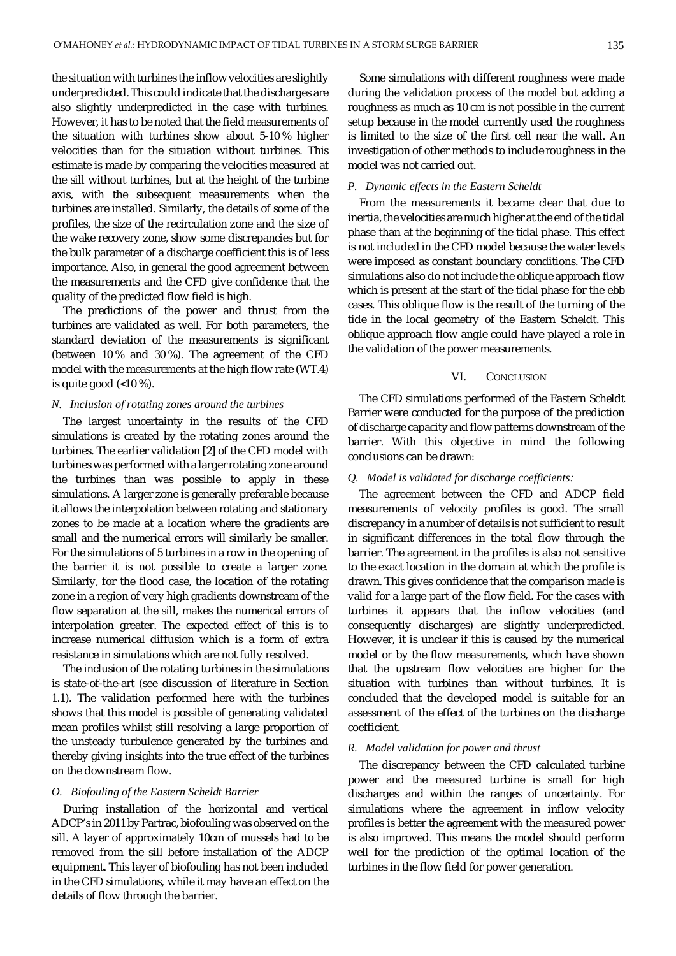the situation with turbines the inflow velocities are slightly underpredicted. This could indicate that the discharges are also slightly underpredicted in the case with turbines. However, it has to be noted that the field measurements of the situation with turbines show about 5-10 % higher velocities than for the situation without turbines. This estimate is made by comparing the velocities measured at the sill without turbines, but at the height of the turbine axis, with the subsequent measurements when the turbines are installed. Similarly, the details of some of the profiles, the size of the recirculation zone and the size of the wake recovery zone, show some discrepancies but for the bulk parameter of a discharge coefficient this is of less importance. Also, in general the good agreement between the measurements and the CFD give confidence that the quality of the predicted flow field is high.

The predictions of the power and thrust from the turbines are validated as well. For both parameters, the standard deviation of the measurements is significant (between 10 % and 30 %). The agreement of the CFD model with the measurements at the high flow rate (WT.4) is quite good (<10 %).

#### *N. Inclusion of rotating zones around the turbines*

The largest uncertainty in the results of the CFD simulations is created by the rotating zones around the turbines. The earlier validation [2] of the CFD model with turbines was performed with a larger rotating zone around the turbines than was possible to apply in these simulations. A larger zone is generally preferable because it allows the interpolation between rotating and stationary zones to be made at a location where the gradients are small and the numerical errors will similarly be smaller. For the simulations of 5 turbines in a row in the opening of the barrier it is not possible to create a larger zone. Similarly, for the flood case, the location of the rotating zone in a region of very high gradients downstream of the flow separation at the sill, makes the numerical errors of interpolation greater. The expected effect of this is to increase numerical diffusion which is a form of extra resistance in simulations which are not fully resolved.

The inclusion of the rotating turbines in the simulations is state-of-the-art (see discussion of literature in Section 1.1). The validation performed here with the turbines shows that this model is possible of generating validated mean profiles whilst still resolving a large proportion of the unsteady turbulence generated by the turbines and thereby giving insights into the true effect of the turbines on the downstream flow.

## *O. Biofouling of the Eastern Scheldt Barrier*

During installation of the horizontal and vertical ADCP's in 2011 by Partrac, biofouling was observed on the sill. A layer of approximately 10cm of mussels had to be removed from the sill before installation of the ADCP equipment. This layer of biofouling has not been included in the CFD simulations, while it may have an effect on the details of flow through the barrier.

Some simulations with different roughness were made during the validation process of the model but adding a roughness as much as 10 cm is not possible in the current setup because in the model currently used the roughness is limited to the size of the first cell near the wall. An investigation of other methods to include roughness in the model was not carried out.

#### *P. Dynamic effects in the Eastern Scheldt*

From the measurements it became clear that due to inertia, the velocities are much higher at the end of the tidal phase than at the beginning of the tidal phase. This effect is not included in the CFD model because the water levels were imposed as constant boundary conditions. The CFD simulations also do not include the oblique approach flow which is present at the start of the tidal phase for the ebb cases. This oblique flow is the result of the turning of the tide in the local geometry of the Eastern Scheldt. This oblique approach flow angle could have played a role in the validation of the power measurements.

# VI. CONCLUSION

The CFD simulations performed of the Eastern Scheldt Barrier were conducted for the purpose of the prediction of discharge capacity and flow patterns downstream of the barrier. With this objective in mind the following conclusions can be drawn:

#### *Q. Model is validated for discharge coefficients:*

The agreement between the CFD and ADCP field measurements of velocity profiles is good. The small discrepancy in a number of details is not sufficient to result in significant differences in the total flow through the barrier. The agreement in the profiles is also not sensitive to the exact location in the domain at which the profile is drawn. This gives confidence that the comparison made is valid for a large part of the flow field. For the cases with turbines it appears that the inflow velocities (and consequently discharges) are slightly underpredicted. However, it is unclear if this is caused by the numerical model or by the flow measurements, which have shown that the upstream flow velocities are higher for the situation with turbines than without turbines. It is concluded that the developed model is suitable for an assessment of the effect of the turbines on the discharge coefficient.

#### *R. Model validation for power and thrust*

The discrepancy between the CFD calculated turbine power and the measured turbine is small for high discharges and within the ranges of uncertainty. For simulations where the agreement in inflow velocity profiles is better the agreement with the measured power is also improved. This means the model should perform well for the prediction of the optimal location of the turbines in the flow field for power generation.